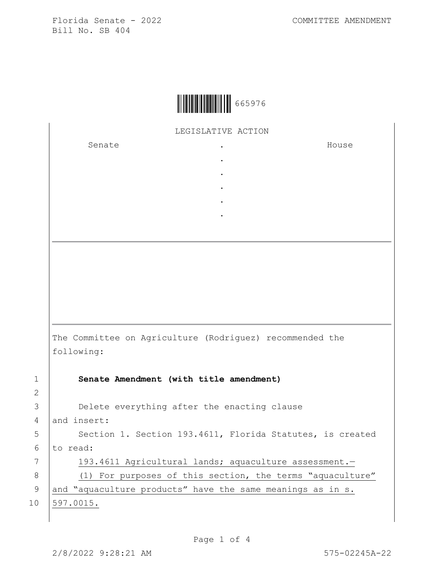

LEGISLATIVE ACTION

. . . . .

Senate .

House

The Committee on Agriculture (Rodriguez) recommended the following:

2

1 **Senate Amendment (with title amendment)** 3 Delete everything after the enacting clause 4 and insert: 5 | Section 1. Section 193.4611, Florida Statutes, is created  $6$  to read: 7 | 193.4611 Agricultural lands; aquaculture assessment. 8 (1) For purposes of this section, the terms "aquaculture" 9 and "aquaculture products" have the same meanings as in s. 10 597.0015.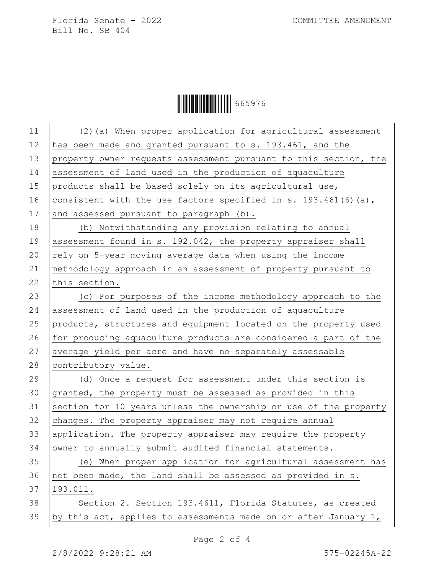|  | 665976 |
|--|--------|
|--|--------|

| (2) (a) When proper application for agricultural assessment      |
|------------------------------------------------------------------|
| has been made and granted pursuant to s. 193.461, and the        |
| property owner requests assessment pursuant to this section, the |
| assessment of land used in the production of aquaculture         |
| products shall be based solely on its agricultural use,          |
| consistent with the use factors specified in s. 193.461(6)(a),   |
| and assessed pursuant to paragraph (b).                          |
| (b) Notwithstanding any provision relating to annual             |
| assessment found in s. 192.042, the property appraiser shall     |
| rely on 5-year moving average data when using the income         |
| methodology approach in an assessment of property pursuant to    |
| this section.                                                    |
| (c) For purposes of the income methodology approach to the       |
| assessment of land used in the production of aquaculture         |
| products, structures and equipment located on the property used  |
| for producing aquaculture products are considered a part of the  |
| average yield per acre and have no separately assessable         |
| contributory value.                                              |
| (d) Once a request for assessment under this section is          |
| granted, the property must be assessed as provided in this       |
| section for 10 years unless the ownership or use of the property |
| changes. The property appraiser may not require annual           |
| application. The property appraiser may require the property     |
| owner to annually submit audited financial statements.           |
| (e) When proper application for agricultural assessment has      |
| not been made, the land shall be assessed as provided in s.      |
| 193.011.                                                         |
| Section 2. Section 193.4611, Florida Statutes, as created        |
| by this act, applies to assessments made on or after January 1,  |
|                                                                  |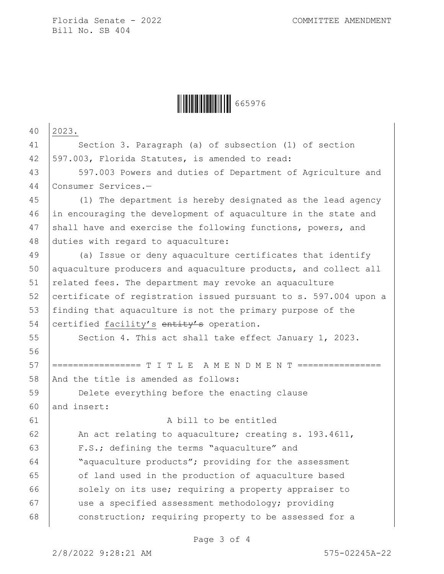

| 40 | 2023.                                                            |
|----|------------------------------------------------------------------|
| 41 | Section 3. Paragraph (a) of subsection (1) of section            |
| 42 | 597.003, Florida Statutes, is amended to read:                   |
| 43 | 597.003 Powers and duties of Department of Agriculture and       |
| 44 | Consumer Services.-                                              |
| 45 | (1) The department is hereby designated as the lead agency       |
| 46 | in encouraging the development of aquaculture in the state and   |
| 47 | shall have and exercise the following functions, powers, and     |
| 48 | duties with regard to aquaculture:                               |
| 49 | (a) Issue or deny aquaculture certificates that identify         |
| 50 | aquaculture producers and aquaculture products, and collect all  |
| 51 | related fees. The department may revoke an aquaculture           |
| 52 | certificate of registration issued pursuant to s. 597.004 upon a |
| 53 | finding that aquaculture is not the primary purpose of the       |
| 54 | certified facility's entity's operation.                         |
| 55 | Section 4. This act shall take effect January 1, 2023.           |
| 56 |                                                                  |
| 57 | =============== T I T L E  A M E  N D M E  N T ========          |
| 58 | And the title is amended as follows:                             |
| 59 | Delete everything before the enacting clause                     |
| 60 | and insert:                                                      |
| 61 | A bill to be entitled                                            |
| 62 | An act relating to aquaculture; creating s. 193.4611,            |
| 63 | F.S.; defining the terms "aquaculture" and                       |
| 64 | "aquaculture products"; providing for the assessment             |
| 65 | of land used in the production of aquaculture based              |
| 66 | solely on its use; requiring a property appraiser to             |
| 67 | use a specified assessment methodology; providing                |
| 68 | construction; requiring property to be assessed for a            |
|    |                                                                  |

Page 3 of 4